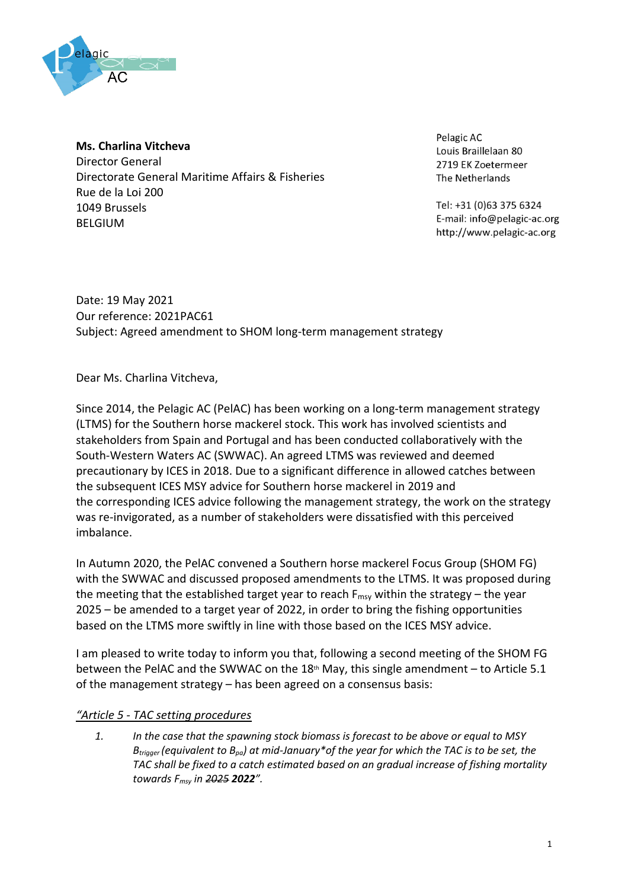

### **Ms. Charlina Vitcheva**

Director General Directorate General Maritime Affairs & Fisheries Rue de la Loi 200 1049 Brussels BELGIUM

Pelagic AC Louis Braillelaan 80 2719 EK Zoetermeer The Netherlands

Tel: +31 (0)63 375 6324 E-mail: info@pelagic-ac.org http://www.pelagic-ac.org

Date: 19 May 2021 Our reference: 2021PAC61 Subject: Agreed amendment to SHOM long-term management strategy

Dear Ms. Charlina Vitcheva,

Since 2014, the Pelagic AC (PelAC) has been working on a long-term management strategy (LTMS) for the Southern horse mackerel stock. This work has involved scientists and stakeholders from Spain and Portugal and has been conducted collaboratively with the South-Western Waters AC (SWWAC). An agreed LTMS was reviewed and deemed precautionary by ICES in 2018. Due to a significant difference in allowed catches between the subsequent ICES MSY advice for Southern horse mackerel in 2019 and the corresponding ICES advice following the management strategy, the work on the strategy was re-invigorated, as a number of stakeholders were dissatisfied with this perceived imbalance.

In Autumn 2020, the PelAC convened a Southern horse mackerel Focus Group (SHOM FG) with the SWWAC and discussed proposed amendments to the LTMS. It was proposed during the meeting that the established target year to reach  $F_{\text{msv}}$  within the strategy – the year 2025 – be amended to a target year of 2022, in order to bring the fishing opportunities based on the LTMS more swiftly in line with those based on the ICES MSY advice.

I am pleased to write today to inform you that, following a second meeting of the SHOM FG between the PelAC and the SWWAC on the  $18<sup>th</sup>$  May, this single amendment – to Article 5.1 of the management strategy – has been agreed on a consensus basis:

## *"Article 5 - TAC setting procedures*

*1. In the case that the spawning stock biomass is forecast to be above or equal to MSY Btrigger (equivalent to Bpa) at mid-January\*of the year for which the TAC is to be set, the TAC shall be fixed to a catch estimated based on an gradual increase of fishing mortality towards Fmsy in 2025 2022".*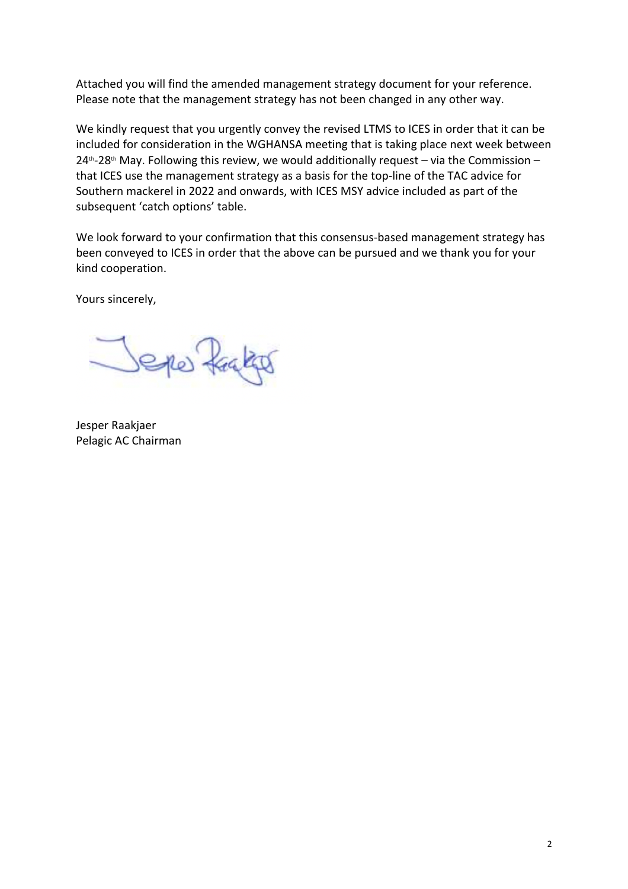Attached you will find the amended management strategy document for your reference. Please note that the management strategy has not been changed in any other way.

We kindly request that you urgently convey the revised LTMS to ICES in order that it can be included for consideration in the WGHANSA meeting that is taking place next week between  $24<sup>th</sup>$ -28<sup>th</sup> May. Following this review, we would additionally request – via the Commission – that ICES use the management strategy as a basis for the top-line of the TAC advice for Southern mackerel in 2022 and onwards, with ICES MSY advice included as part of the subsequent 'catch options' table.

We look forward to your confirmation that this consensus-based management strategy has been conveyed to ICES in order that the above can be pursued and we thank you for your kind cooperation.

Yours sincerely,

Seper frages

Jesper Raakjaer Pelagic AC Chairman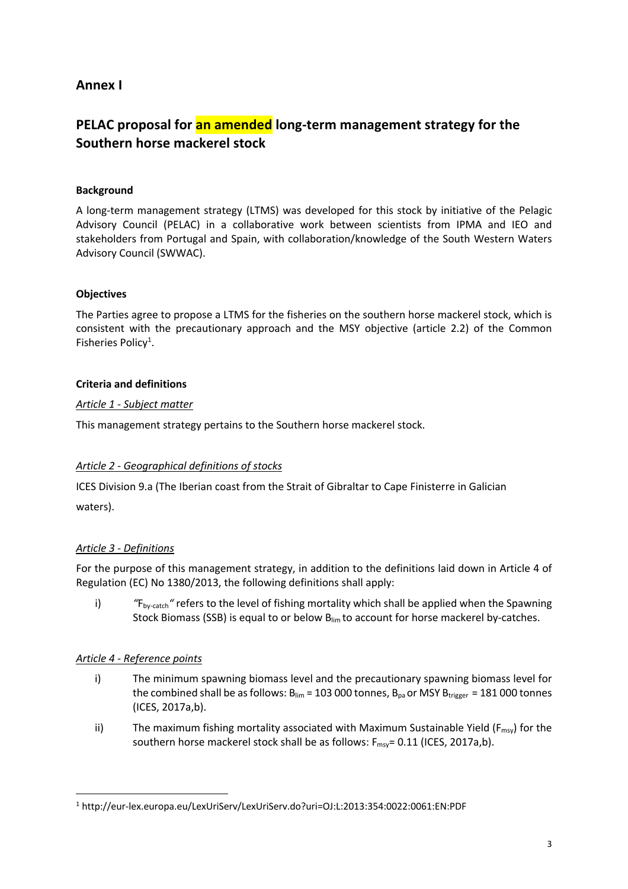## **Annex I**

# **PELAC proposal for an amended long-term management strategy for the Southern horse mackerel stock**

## **Background**

A long-term management strategy (LTMS) was developed for this stock by initiative of the Pelagic Advisory Council (PELAC) in a collaborative work between scientists from IPMA and IEO and stakeholders from Portugal and Spain, with collaboration/knowledge of the South Western Waters Advisory Council (SWWAC).

## **Objectives**

The Parties agree to propose a LTMS for the fisheries on the southern horse mackerel stock, which is consistent with the precautionary approach and the MSY objective (article 2.2) of the Common Fisheries Policy<sup>1</sup>.

## **Criteria and definitions**

## *Article 1 - Subject matter*

This management strategy pertains to the Southern horse mackerel stock.

## *Article 2 - Geographical definitions of stocks*

ICES Division 9.a (The Iberian coast from the Strait of Gibraltar to Cape Finisterre in Galician waters).

## *Article 3 - Definitions*

For the purpose of this management strategy, in addition to the definitions laid down in Article 4 of Regulation (EC) No 1380/2013, the following definitions shall apply:

i) <sup>"</sup>F<sub>by-catch</sub>" refers to the level of fishing mortality which shall be applied when the Spawning Stock Biomass (SSB) is equal to or below Blim to account for horse mackerel by-catches.

## *Article 4 - Reference points*

- i) The minimum spawning biomass level and the precautionary spawning biomass level for the combined shall be as follows:  $B_{lim}$  = 103 000 tonnes,  $B_{pa}$  or MSY  $B_{trigger}$  = 181 000 tonnes (ICES, 2017a,b).
- ii) The maximum fishing mortality associated with Maximum Sustainable Yield ( $F_{\text{msy}}$ ) for the southern horse mackerel stock shall be as follows:  $F_{\text{msy}} = 0.11$  (ICES, 2017a,b).

<sup>1</sup> http://eur-lex.europa.eu/LexUriServ/LexUriServ.do?uri=OJ:L:2013:354:0022:0061:EN:PDF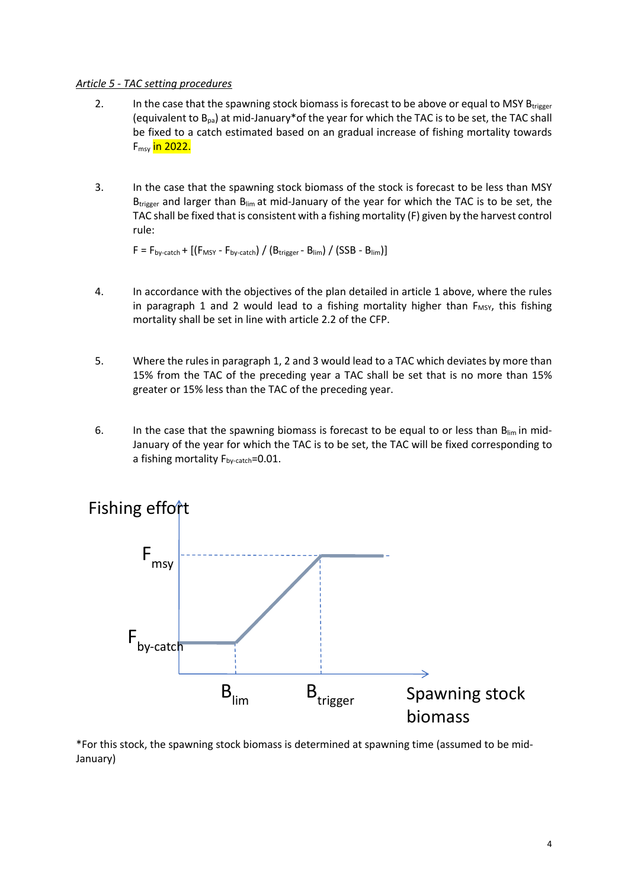#### *Article 5 - TAC setting procedures*

- 2. In the case that the spawning stock biomass is forecast to be above or equal to MSY Btrigger (equivalent to  $B_{pa}$ ) at mid-January\*of the year for which the TAC is to be set, the TAC shall be fixed to a catch estimated based on an gradual increase of fishing mortality towards F<sub>msy</sub> in 2022.
- 3. In the case that the spawning stock biomass of the stock is forecast to be less than MSY  $B_{trigger}$  and larger than  $B_{lim}$  at mid-January of the year for which the TAC is to be set, the TAC shall be fixed that is consistent with a fishing mortality (F) given by the harvest control rule:

 $F = F_{bv\text{-}catch} + [(F_{MSY} - F_{bv\text{-}catch}) / (B_{trigger} - B_{lim}) / (SSB - B_{lim})]$ 

- 4. In accordance with the objectives of the plan detailed in article 1 above, where the rules in paragraph 1 and 2 would lead to a fishing mortality higher than  $F_{MSY}$ , this fishing mortality shall be set in line with article 2.2 of the CFP.
- 5. Where the rules in paragraph 1, 2 and 3 would lead to a TAC which deviates by more than 15% from the TAC of the preceding year a TAC shall be set that is no more than 15% greater or 15% less than the TAC of the preceding year.
- 6. In the case that the spawning biomass is forecast to be equal to or less than  $B_{lim}$  in mid-January of the year for which the TAC is to be set, the TAC will be fixed corresponding to a fishing mortality  $F_{\text{b}v-catch}=0.01$ .



\*For this stock, the spawning stock biomass is determined at spawning time (assumed to be mid-January)

#### 4